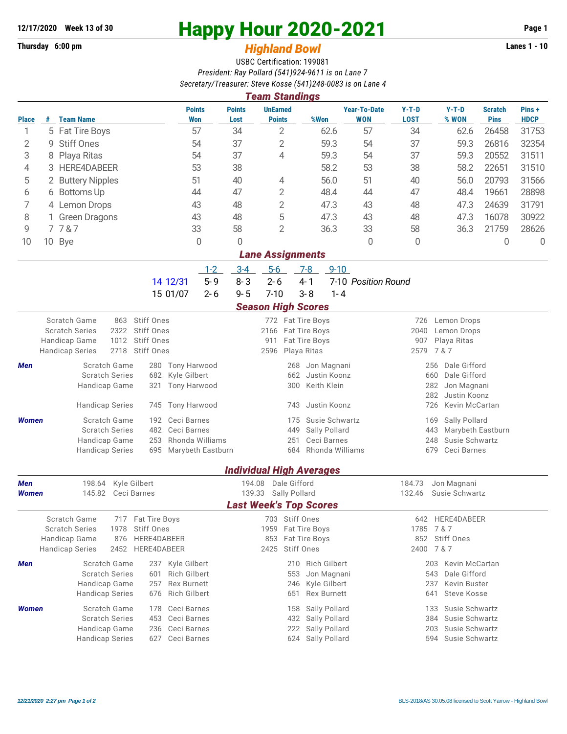## **Thursday 6:00 pm** *Highland Bowl*

## **12/17/2020** Week 13 of 30<br> **Happy Hour 2020-2021** Page 1<br> **Highland Rowl Lanes 1 - 10**<br>
Lanes 1 - 10

## USBC Certification: 199081 *President: Ray Pollard (541)924-9611 is on Lane 7 Secretary/Treasurer: Steve Kosse (541)248-0083 is on Lane 4*

|                                                         | <b>Team Standings</b> |                                                                                      |                                         |                       |                                  |                                 |                                   |                                           |                                            |                               |                      |  |  |  |
|---------------------------------------------------------|-----------------------|--------------------------------------------------------------------------------------|-----------------------------------------|-----------------------|----------------------------------|---------------------------------|-----------------------------------|-------------------------------------------|--------------------------------------------|-------------------------------|----------------------|--|--|--|
| <b>Place</b>                                            | #                     | <b>Team Name</b>                                                                     | <b>Points</b><br><b>Won</b>             | <b>Points</b><br>Lost | <b>UnEarned</b><br><b>Points</b> | %Won                            | <b>Year-To-Date</b><br><b>WON</b> | $Y-T-D$<br><b>LOST</b>                    | $Y-T-D$<br>% WON                           | <b>Scratch</b><br><b>Pins</b> | Pins+<br><b>HDCP</b> |  |  |  |
| 1                                                       |                       | 5 Fat Tire Boys                                                                      | 57                                      | 34                    | $\overline{2}$                   | 62.6                            | 57                                | 34                                        | 62.6                                       | 26458                         | 31753                |  |  |  |
| 2                                                       | 9                     | <b>Stiff Ones</b>                                                                    | 54                                      | 37                    | $\overline{2}$                   | 59.3                            | 54                                | 37                                        | 59.3                                       | 26816                         | 32354                |  |  |  |
| 3                                                       | 8                     | Playa Ritas<br>54                                                                    |                                         | 37                    | 4                                | 59.3                            | 54                                | 37                                        | 59.3                                       | 20552                         | 31511                |  |  |  |
| 4                                                       | 3                     | <b>HERE4DABEER</b>                                                                   | 53                                      | 38                    |                                  | 58.2                            | 53                                | 38                                        | 58.2                                       | 22651                         | 31510                |  |  |  |
| 5                                                       |                       | 2 Buttery Nipples                                                                    | 51                                      | 40                    | 4                                | 56.0                            | 51                                | 40                                        | 56.0                                       | 20793                         | 31566                |  |  |  |
| 6                                                       |                       | 6 Bottoms Up                                                                         | 44                                      | 47                    | 2                                | 48.4<br>44                      |                                   | 47                                        | 48.4                                       | 19661                         | 28898                |  |  |  |
| 7                                                       |                       | 4 Lemon Drops                                                                        | 43                                      | 48                    | $\overline{2}$                   | 47.3                            | 43                                | 48                                        | 47.3                                       | 24639                         | 31791                |  |  |  |
| 8                                                       |                       | 1 Green Dragons                                                                      | 43                                      | 48                    | 5                                | 47.3                            | 43                                | 48                                        | 47.3                                       | 16078                         |                      |  |  |  |
| 9                                                       | 7787                  |                                                                                      | 33                                      | 58                    | $\overline{2}$                   | 36.3                            | 33                                | 58                                        | 36.3                                       | 21759                         | 28626                |  |  |  |
| 10                                                      |                       | 10 Bye                                                                               | 0                                       | 0                     |                                  | 0                               |                                   | 0                                         |                                            | 0                             | 0                    |  |  |  |
| <b>Lane Assignments</b>                                 |                       |                                                                                      |                                         |                       |                                  |                                 |                                   |                                           |                                            |                               |                      |  |  |  |
| $5-6$<br>$1 - 2$<br>$3-4$<br>$7-8$<br>$9 - 10$          |                       |                                                                                      |                                         |                       |                                  |                                 |                                   |                                           |                                            |                               |                      |  |  |  |
|                                                         |                       |                                                                                      | $5 - 9$<br>14 12/31                     | $8 - 3$               | $2 - 6$                          | $4 - 1$                         | 7-10 Position Round               |                                           |                                            |                               |                      |  |  |  |
|                                                         |                       |                                                                                      | 15 01/07<br>$2 - 6$                     | $9 - 5$               | $7 - 10$                         | $3 - 8$<br>$1 - 4$              |                                   |                                           |                                            |                               |                      |  |  |  |
|                                                         |                       |                                                                                      |                                         |                       | <b>Season High Scores</b>        |                                 |                                   |                                           |                                            |                               |                      |  |  |  |
|                                                         |                       | Scratch Game<br>863 Stiff Ones                                                       |                                         |                       | 772 Fat Tire Boys                |                                 |                                   | 726                                       | Lemon Drops                                |                               |                      |  |  |  |
|                                                         |                       | <b>Scratch Series</b><br>2322<br><b>Stiff Ones</b>                                   |                                         |                       | 2166 Fat Tire Boys               |                                 |                                   | 2040                                      | Lemon Drops                                |                               |                      |  |  |  |
|                                                         |                       | <b>Stiff Ones</b><br>Handicap Game<br>1012                                           |                                         |                       | 911                              | Fat Tire Boys                   |                                   | 2579                                      | 907<br>Playa Ritas                         |                               |                      |  |  |  |
|                                                         |                       | Stiff Ones<br><b>Handicap Series</b><br>2718                                         |                                         |                       | 2596                             | Playa Ritas                     | 7 & 7                             |                                           |                                            |                               |                      |  |  |  |
| Men                                                     |                       | Scratch Game<br>280                                                                  | Tony Harwood                            |                       | Jon Magnani<br>268               |                                 |                                   | Dale Gifford<br>256                       |                                            |                               |                      |  |  |  |
|                                                         |                       | <b>Scratch Series</b><br>682                                                         | Kyle Gilbert                            |                       | 662                              | Justin Koonz<br>Keith Klein     |                                   | 660<br>Dale Gifford<br>282<br>Jon Magnani |                                            |                               |                      |  |  |  |
|                                                         |                       | Handicap Game<br>321                                                                 | Tony Harwood                            |                       |                                  | 300                             |                                   |                                           | 282<br>Justin Koonz                        |                               |                      |  |  |  |
|                                                         |                       | <b>Handicap Series</b><br>745                                                        | <b>Tony Harwood</b>                     |                       | Justin Koonz<br>743              |                                 |                                   | Kevin McCartan<br>726                     |                                            |                               |                      |  |  |  |
| Women                                                   |                       | Scratch Game<br>192                                                                  | Ceci Barnes                             |                       | 175                              | Susie Schwartz                  |                                   |                                           | Sally Pollard<br>169                       |                               |                      |  |  |  |
|                                                         |                       | <b>Scratch Series</b><br>482                                                         | Ceci Barnes                             |                       | 449                              | Sally Pollard                   |                                   |                                           | 443<br>Marybeth Eastburn                   |                               |                      |  |  |  |
|                                                         |                       | Handicap Game<br>253                                                                 | Rhonda Williams                         |                       | 251                              | Ceci Barnes                     |                                   |                                           | Susie Schwartz<br>248                      |                               |                      |  |  |  |
|                                                         |                       | <b>Handicap Series</b><br>695                                                        | Marybeth Eastburn                       |                       |                                  | 684 Rhonda Williams             |                                   |                                           | 679<br>Ceci Barnes                         |                               |                      |  |  |  |
|                                                         |                       |                                                                                      |                                         |                       |                                  | <b>Individual High Averages</b> |                                   |                                           |                                            |                               |                      |  |  |  |
| Dale Gifford<br>Men<br>198.64<br>Kyle Gilbert<br>194.08 |                       |                                                                                      |                                         |                       |                                  |                                 |                                   | 184.73                                    | Jon Magnani                                |                               |                      |  |  |  |
| <b>Women</b>                                            |                       | 145.82<br>Ceci Barnes                                                                |                                         | 139.33                | Sally Pollard                    |                                 |                                   | 132.46                                    | Susie Schwartz                             |                               |                      |  |  |  |
| <b>Last Week's Top Scores</b>                           |                       |                                                                                      |                                         |                       |                                  |                                 |                                   |                                           |                                            |                               |                      |  |  |  |
|                                                         |                       | Scratch Game<br>Fat Tire Boys<br>717                                                 |                                         |                       | 703 Stiff Ones                   |                                 |                                   | 642                                       | HERE4DABEER                                |                               |                      |  |  |  |
|                                                         |                       | <b>Scratch Series</b><br>1978<br>Stiff Ones                                          |                                         |                       | 1959                             | Fat Tire Boys                   |                                   | 1785                                      | 7&7                                        |                               |                      |  |  |  |
|                                                         |                       | HERE4DABEER<br>Handicap Game<br>876<br>2452<br><b>Handicap Series</b><br>HERE4DABEER |                                         |                       | 853<br>2425                      | Fat Tire Boys<br>Stiff Ones     |                                   |                                           | 852 Stiff Ones<br>2400 7 & 7               |                               |                      |  |  |  |
|                                                         |                       |                                                                                      |                                         |                       |                                  |                                 |                                   |                                           |                                            |                               |                      |  |  |  |
| Men                                                     |                       | Scratch Game                                                                         | 237 Kyle Gilbert<br><b>Rich Gilbert</b> |                       | 210                              | Rich Gilbert<br>Jon Magnani     |                                   |                                           | Kevin McCartan<br>203                      |                               |                      |  |  |  |
|                                                         |                       | <b>Scratch Series</b><br>601<br>Handicap Game<br>257                                 | <b>Rex Burnett</b>                      |                       | 553<br>246                       | Kyle Gilbert                    |                                   |                                           | 543<br>Dale Gifford<br>237<br>Kevin Buster |                               |                      |  |  |  |
|                                                         |                       | <b>Handicap Series</b><br>676                                                        | <b>Rich Gilbert</b>                     |                       | 651                              | <b>Rex Burnett</b>              |                                   |                                           | 641<br><b>Steve Kosse</b>                  |                               |                      |  |  |  |
| Women                                                   |                       | Scratch Game<br>178                                                                  | Ceci Barnes                             |                       | 158                              | Sally Pollard                   |                                   |                                           | Susie Schwartz<br>133                      |                               |                      |  |  |  |
|                                                         |                       | <b>Scratch Series</b><br>453                                                         | Ceci Barnes                             |                       | 432                              | Sally Pollard                   |                                   |                                           | 384<br>Susie Schwartz                      |                               |                      |  |  |  |
|                                                         |                       | Handicap Game<br>236                                                                 | Ceci Barnes                             |                       | 222                              | Sally Pollard                   |                                   |                                           | Susie Schwartz<br>203                      |                               |                      |  |  |  |
|                                                         |                       | <b>Handicap Series</b><br>627                                                        | Ceci Barnes                             |                       | 624                              | Sally Pollard                   |                                   |                                           | 594 Susie Schwartz                         |                               |                      |  |  |  |